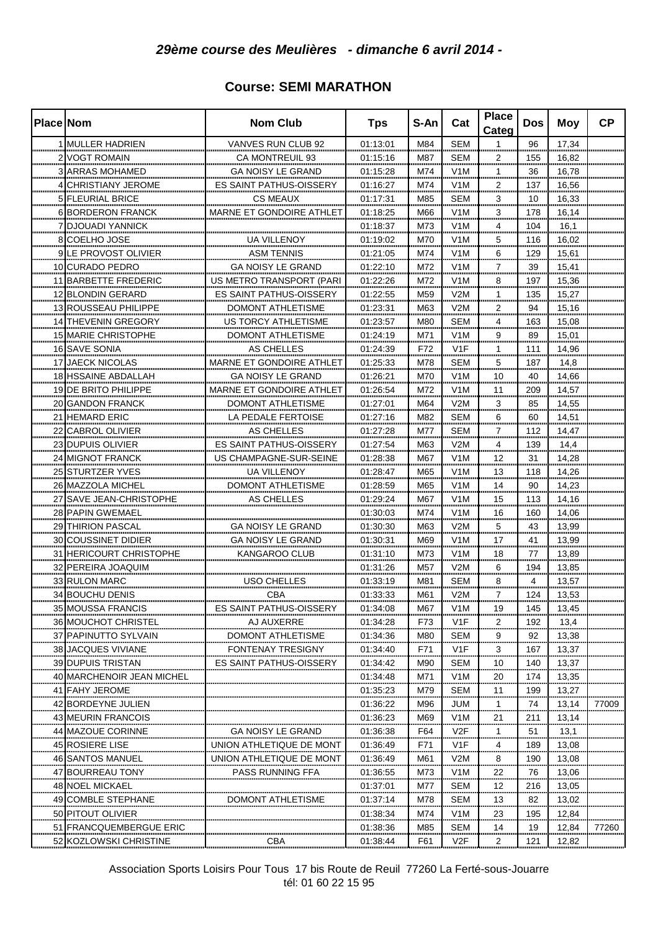| <b>Place Nom</b> |                             | <b>Nom Club</b>                 | <b>Tps</b>           | S-An    | Cat                  | <b>Place</b><br>Categ | Dos     | Moy       | <b>CP</b> |
|------------------|-----------------------------|---------------------------------|----------------------|---------|----------------------|-----------------------|---------|-----------|-----------|
|                  | 1 MULLER HADRIEN            | VANVES RUN CLUB 92              | 01:13:01             | M84     | <b>SEM</b>           | 1                     | 96      | 17,34     |           |
|                  | 2 VOGT ROMAIN               | <b>CA MONTREUIL 93</b>          | 01:15:16             | M87     | <b>SEM</b>           | 2                     | 155     | 16,82     |           |
|                  | <b>3 ARRAS MOHAMED</b>      | <b>GA NOISY LE GRAND</b>        | 01:15:28             | M74     | V1M                  | 1                     | 36      | 16,78     |           |
|                  | 4 CHRISTIANY JEROME         | ES SAINT PATHUS-OISSERY         | 01:16:27             | M74     | V1M                  | 2                     | 137     | 16,56     |           |
|                  | 5 FLEURIAL BRICE            | CS MEAUX                        | 01:17:31             | M85     | <b>SEM</b>           | 3                     | 10      | 16,33     |           |
|                  | 6 BORDERON FRANCK           | MARNE ET GONDOIRE ATHLET        | 01:18:25             | M66     | V <sub>1</sub> M     | 3                     | 178     | 16,14     |           |
|                  | 7 DJOUADI YANNICK           |                                 | 01:18:37             | M73     | V1M                  | 4                     | 104     | 16,1      |           |
|                  | 8 COELHO JOSE               | UA VILLENOY                     | 01:19:02             | M70     | V1M                  | 5                     | 116     | 16,02     |           |
|                  | 9 LE PROVOST OLIVIER        | <b>ASM TENNIS</b>               | 01:21:05             | M74     | V <sub>1</sub> M     | 6                     | 129     | 15,61     |           |
|                  | 10 CURADO PEDRO             | GA NOISY LE GRAND               |                      | M72     | V <sub>1</sub> M     | 7                     | 39      | 15,41     |           |
|                  |                             |                                 | 01:22:10             |         | V <sub>1</sub> M     | 8                     |         |           |           |
|                  | 11 BARBETTE FREDERIC        | US METRO TRANSPORT (PARI        | 01:22:26             | M72     |                      |                       | 197     | 15,36     |           |
|                  | 12 BLONDIN GERARD           | <b>ES SAINT PATHUS-OISSERY</b>  | 01:22:55             | M59     | V2M                  |                       | 135     | 15,27     |           |
|                  | 13 ROUSSEAU PHILIPPE        | DOMONT ATHLETISME               | 01:23:31             | M63     | V2M<br>              | 2                     | 94      | 15,16     |           |
|                  | 14 THEVENIN GREGORY         | US TORCY ATHLETISME             | 01:23:57             | M80     | SEM<br>.             | 4                     | 163     | 15,08     |           |
|                  | 15 MARIE CHRISTOPHE         | DOMONT ATHLETISME               | 01:24:19             | M71     | V <sub>1</sub> M     | 9                     | 89      | 15,01     |           |
|                  | 16 SAVE SONIA               | AS CHELLES                      | 01:24:39             | F72     | V1F                  |                       | 111     | 14,96     |           |
|                  | 17 JAECK NICOLAS            | <b>MARNE ET GONDOIRE ATHLET</b> | 01:25:33             | M78     | <b>SEM</b>           | 5                     | 187     | 14,8      |           |
|                  | 18 HSSAINE ABDALLAH         | <b>GA NOISY LE GRAND</b>        | 01:26:21             | M70<br> | V1M<br>              | 10                    | 40<br>  | 14,66     |           |
|                  | 19 DE BRITO PHILIPPE<br>    | MARNE ET GONDOIRE ATHLET        | 01:26:54             | M72     | V1M<br>              | 11                    | 209     | 14,57     |           |
|                  | 20 GANDON FRANCK            | <b>DOMONT ATHLETISME</b>        | 01:27:01<br>         | M64     | V2M<br>              | 3                     | 85      | 14,55     |           |
|                  | 21 HEMARD ERIC<br>          | LA PEDALE FERTOISE<br>          | 01:27:16<br>         | M82<br> | <b>SEM</b><br>       | 6                     | 60<br>  | 14,51     |           |
|                  | 22 CABROL OLIVIER<br>       | AS CHELLES<br>                  | 01:27:28             | M77<br> | <b>SEM</b><br>       | 7                     | 112<br> | 14,47<br> |           |
|                  | 23 DUPUIS OLIVIER<br>       | ES SAINT PATHUS-OISSERY         | 01:27:54             | M63     | V2M<br>              | 4                     | 139<br> | 14,4      |           |
|                  | 24 MIGNOT FRANCK<br>        | US CHAMPAGNE-SUR-SEINE<br>      | 01:28:38             | M67<br> | V1M<br>              | 12<br>                | 31      | 14,28<br> |           |
|                  | 25 STURTZER YVES            | UA VILLENOY                     | 01:28:47<br>         | M65     | V1M<br>              | 13                    | 118     | 14,26     |           |
|                  | 26 MAZZOLA MICHEL           | DOMONT ATHLETISME               | 01:28:59             | M65     | V <sub>1</sub> M<br> | 14<br>                | 90<br>  | 14,23     |           |
| 27               | <b>SAVE JEAN-CHRISTOPHE</b> | AS CHELLES                      | 01:29:24             | M67     | V <sub>1</sub> M<br> | 15                    | 113     | 14,16     |           |
|                  | 28 PAPIN GWEMAEL            |                                 | 01:30:03             | M74     | V <sub>1</sub> M<br> | 16<br>                | 160     | 14,06     |           |
|                  | 29 THIRION PASCAL           | <b>GA NOISY LE GRAND</b>        | 01:30:30<br>         | M63<br> | V2M                  | 5<br>                 | 43<br>  | 13,99     |           |
|                  | 30 COUSSINET DIDIER         | GA NOISY LE GRAND               | 01:30:31<br>.        | M69<br> | <br>V1M              | 17                    | 41      | 13,99<br> |           |
|                  | 31 HERICOURT CHRISTOPHE     | KANGAROO CLUB                   | 01:31:10             | M73     | <br>V <sub>1</sub> M | <br>18                | .<br>77 | 13,89     |           |
|                  | 32 PEREIRA JOAQUIM          |                                 | 01:31:26             | M57     | <br>V2M              | 6                     | 194     | 13,85     |           |
|                  | 33 RULON MARC               | <b>USO CHELLES</b>              | 01:33:19             | M81     | SEM                  | 8                     | 4       | 13,57     |           |
|                  | 34 BOUCHU DENIS             | CBA                             | 01:33:33             | M61     | V2M                  | 7                     | 124     | 13,53     |           |
|                  | 35 MOUSSA FRANCIS           | ES SAINT PATHUS-OISSERY         | 01:34:08             | M67     | V <sub>1</sub> M     | 19                    | 145     | 13,45     |           |
|                  | 36 MOUCHOT CHRISTEL         | AJ AUXERRE                      | 01:34:28             | F73     | V <sub>1</sub> F     | 2                     | 192     | 13,4      |           |
|                  | 37 PAPINUTTO SYLVAIN        | DOMONT ATHLETISME               | 01:34:36             | M80     | <b>SEM</b>           | 9                     | 92      | 13,38     |           |
|                  | 38 JACQUES VIVIANE          | FONTENAY TRESIGNY               | 01:34:40             | F71     | V <sub>1</sub> F     | 3                     | 167     | 13,37     |           |
|                  | 39 DUPUIS TRISTAN           | <b>ES SAINT PATHUS-OISSERY</b>  | 01:34:42             | M90     | <b>SEM</b>           | 10                    | 140     | 13,37     |           |
|                  | 40 MARCHENOIR JEAN MICHEL   |                                 |                      | M71     | V <sub>1</sub> M     | 20                    | 174     | 13,35     |           |
|                  | 41 FAHY JEROME              |                                 | 01:34:48<br>01:35:23 | M79     | <b>SEM</b>           | 11                    | 199     | 13,27     |           |
|                  | 42 BORDEYNE JULIEN          |                                 | 01:36:22             | M96     | JUM                  | 1                     | 74      |           | 77009     |
|                  |                             |                                 |                      |         |                      | 21                    |         | 13,14     |           |
|                  | 43 MEURIN FRANCOIS          |                                 | 01:36:23             | M69     | V <sub>1</sub> M     |                       | 211     | 13,14     |           |
|                  | 44 MAZOUE CORINNE           | <b>GA NOISY LE GRAND</b>        | 01:36:38             | F64     | V2F                  | 1                     | 51      | 13,1      |           |
|                  | 45 ROSIERE LISE             | UNION ATHLETIQUE DE MONT        | 01:36:49             | F71     | V1F                  | 4                     | 189     | 13,08     |           |
|                  | 46 SANTOS MANUEL            | UNION ATHLETIQUE DE MONT        | 01:36:49             | M61     | V2M                  | 8                     | 190     | 13,08     |           |
|                  | 47 BOURREAU TONY            | PASS RUNNING FFA                | 01:36:55             | M73     | V <sub>1</sub> M<br> | 22.                   | 76      | 13,06     |           |
|                  | 48 NOEL MICKAEL             |                                 | 01:37:01             | M77     | SEM                  | <u>.12.</u>           | 216     | 13,05     |           |
|                  | 49 COMBLE STEPHANE          | DOMONT ATHLETISME               | 01:37:14             | M78     | <b>SEM</b>           | 13                    | 82      | 13,02     |           |
|                  | 50 PITOUT OLIVIER           |                                 | 01:38:34             | M74     | V <sub>1</sub> M     | 23                    | 195     | 12,84     |           |
|                  | 51 FRANCQUEMBERGUE ERIC     |                                 | 01:38:36             | M85     | SEM                  | 14                    | 19      | 12,84     | 77260     |
|                  | 52 KOZLOWSKI CHRISTINE      | CBA                             | $\frac{01:38:44}{}$  | F61     | V2F                  | 2                     | 121     | 12,82     |           |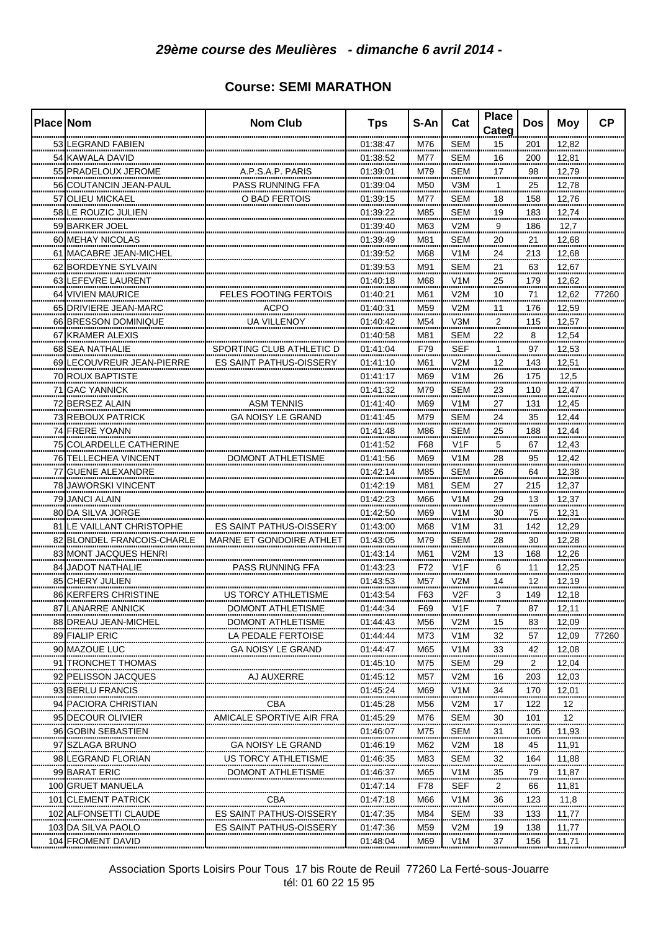| <b>Place Nom</b> |                              | <b>Nom Club</b>                 | <b>Tps</b>   | S-An    | Cat                  | <b>Place</b><br>Categ | <b>Dos</b>        | Moy       | <b>CP</b> |
|------------------|------------------------------|---------------------------------|--------------|---------|----------------------|-----------------------|-------------------|-----------|-----------|
|                  | 53 LEGRAND FABIEN            |                                 | 01:38:47     | M76     | <b>SEM</b>           | 15                    | 201               | 12,82     |           |
|                  | 54 KAWALA DAVID              |                                 | 01:38:52     | M77     | <b>SEM</b>           | 16                    | 200               | 12,81     |           |
|                  | 55 PRADELOUX JEROME          | A.P.S.A.P. PARIS                | 01:39:01     | M79     | <b>SEM</b>           | 17                    | 98                | 12,79     |           |
|                  | 56 COUTANCIN JEAN-PAUL       | PASS RUNNING FFA                | 01:39:04     | M50     | V3M                  | 1                     | 25                | 12,78     |           |
|                  | 57 OLIEU MICKAEL             | O BAD FERTOIS                   | 01:39:15     | M77     | <b>SEM</b>           | 18                    | 158               | 12,76     |           |
|                  | 58 LE ROUZIC JULIEN          |                                 | 01:39:22     | M85     | <b>SEM</b>           | 19                    | 183               | 12,74     |           |
|                  | 59 BARKER JOEL               |                                 | 01:39:40     | M63     | V2M                  | 9                     | 186               | 12,7      |           |
|                  | 60 MEHAY NICOLAS             |                                 | 01:39:49     | M81     | <b>SEM</b>           | 20                    | 21                | 12,68     |           |
|                  | 61 IMACABRE JEAN-MICHEL      |                                 | 01:39:52     | M68     | V <sub>1</sub> M     | 24                    | 213               | 12,68     |           |
|                  | 62 BORDEYNE SYLVAIN          |                                 | 01:39:53     | M91     | SEM                  | 21                    | 63                | 12.67     |           |
|                  | 63 LEFEVRE LAURENT           |                                 | 01:40:18     | M68     | V1M                  | 25                    | 179               | 12,62     |           |
|                  | 64 VIVIEN MAURICE            | FELES FOOTING FERTOIS           | 01:40:21     | M61     | V2M                  | 10                    | 71                | 12,62     | 77260     |
|                  | 65 DRIVIERE JEAN-MARC        | ACPO                            | 01:40:31     | M59     | V2M                  | 11                    | 176               | 12,59     |           |
|                  | 66 BRESSON DOMINIQUE         | UA VILLENOY                     | 01:40:42     | M54     | V <sub>3</sub> M     |                       | 115               | 12,57     |           |
|                  | 67 KRAMER ALEXIS             |                                 | 01:40:58     | M81     | <b>SEM</b>           | $\overline{a}$<br>22  | 8                 | 12,54     |           |
|                  | 68 SEA NATHALIE              | SPORTING CLUB ATHLETIC D        | 01:41:04     | F79     | <b>SEF</b>           | 1                     | 97                | 12,53     |           |
|                  | 69 LECOUVREUR JEAN-PIERRE    | <b>ES SAINT PATHUS-OISSERY</b>  | 01:41:10     | M61     | V2M                  |                       |                   |           |           |
|                  | 70 ROUX BAPTISTE             |                                 | 01:41:17     | M69     | V1M                  | 12                    | 143               | 12,51     |           |
|                  |                              |                                 |              |         |                      | 26<br>.               | 175               | 12,5      |           |
|                  | 71 GAC YANNICK               |                                 | 01:41:32     | M79<br> | <b>SEM</b><br>       | 23<br>.               | 110               | 12,47     |           |
|                  | 72 BERSEZ ALAIN              | ASM TENNIS<br>                  | 01:41:40<br> | M69<br> | V <sub>1</sub> M<br> | 27<br>                | 131<br>           | 12,45<br> |           |
|                  | 73 REBOUX PATRICK            | GA NOISY LE GRAND               | 01:41:45     | M79<br> | SEM<br>              | 24<br>                | 35                | 12,44     |           |
|                  | 74 FRERE YOANN               |                                 | 01:41:48<br> | M86<br> | <b>SEM</b><br>       | $\frac{25}{2}$        | 188<br>.          | 12,44<br> |           |
|                  | 75 COLARDELLE CATHERINE      |                                 | 01:41:52     | F68     | V <sub>1</sub> F     | 5                     | 67                | 12,43     |           |
|                  | 76 TELLECHEA VINCENT         | DOMONT ATHLETISME               | 01:41:56     | M69     | V <sub>1</sub> M<br> | 28<br>                | 95<br>            | 12,42<br> |           |
| 77               | <b>GUENE ALEXANDRE</b>       |                                 | 01:42:14     | M85     | SEM                  | 26                    | 64<br>            | 12,38     |           |
|                  | 78 JAWORSKI VINCENT          |                                 | 01:42:19     | M81     | SEM<br>              | 27<br>                | 215<br>,,,,,,,    | 12,37     |           |
|                  | 79 JANCI ALAIN               |                                 | 01:42:23<br> | M66<br> | V <sub>1</sub> M<br> | 29<br>                | 13<br>            | 12,37     |           |
|                  | 80 DA SILVA JORGE            |                                 | 01:42:50<br> | M69<br> | V1M<br>              | 30<br>                | 75<br>            | 12,31<br> |           |
|                  | 81 LE VAILLANT CHRISTOPHE    | ES SAINT PATHUS-OISSERY         | 01:43:00     | M68     | V <sub>1</sub> M     | 31                    | 142               | 12,29     |           |
|                  | 82 BLONDEL FRANCOIS-CHARLE   | <b>MARNE ET GONDOIRE ATHLET</b> | 01:43:05     | M79     | SEM                  | 28                    | 30                | 12,28     |           |
|                  | 83 MONT JACQUES HENRI        |                                 | 01:43:14     | M61     | V2M                  | 13                    | 168               | 12,26     |           |
|                  | 84 JADOT NATHALIE            | <b>PASS RUNNING FFA</b>         | 01:43:23     | F72     | V1F                  | 6                     | 11                | 12,25     |           |
|                  | 85 CHERY JULIEN              |                                 | 01:43:53     | M57     | V2M                  | 14                    | 12                | 12,19     |           |
|                  | 86 KERFERS CHRISTINE         | US TORCY ATHLETISME             | 01:43:54     | F63     | V2F                  | 3                     | 149               | 12,18     |           |
|                  | 87 LANARRE ANNICK            | DOMONT ATHLETISME               | 01:44:34     | F69     | V <sub>1</sub> F     | 7                     | 87                | 12,11     |           |
|                  | 88 DREAU JEAN-MICHEL         | DOMONT ATHLETISME               | 01:44:43     | M56     | V2M                  | 15                    | 83                | 12,09     |           |
|                  | 89 FIALIP ERIC               | LA PEDALE FERTOISE              | 01:44:44     | M73     | V <sub>1</sub> M     | 32                    | 57                | 12,09     | 77260     |
|                  | 90 MAZOUE LUC                | <b>GA NOISY LE GRAND</b>        | 01:44:47     | M65     | V <sub>1</sub> M     | 33                    | 42                | 12,08     |           |
|                  | 91 TRONCHET THOMAS           |                                 | 01:45:10     | M75     | SEM                  | 29                    | <br>2             | 12,04     |           |
|                  | 92 PELISSON JACQUES          | AJ AUXERRE                      | 01:45:12     | M57     | V2M                  | 16                    | 203               | 12,03     |           |
|                  | 93 BERLU FRANCIS             |                                 | 01:45:24     | M69     | V <sub>1</sub> M     | 34                    | 170               | 12,01     |           |
|                  | 94 PACIORA CHRISTIAN         | CBA                             | 01:45:28     | M56     | V2M                  | 17                    | 122               | 12        |           |
|                  | 95 DECOUR OLIVIER            | AMICALE SPORTIVE AIR FRA        | 01:45:29     | M76     | SEM                  | 30                    | 101               | 12        |           |
|                  | 96 GOBIN SEBASTIEN           |                                 | 01:46:07     | M75     | SEM                  | 31                    | 105               | 11,93     |           |
|                  | 97 SZLAGA BRUNO              | GA NOISY LE GRAND               | 01:46:19     | M62     | V2M                  | 18                    | 45                | 11,91     |           |
|                  | 98 LEGRAND FLORIAN           | US TORCY ATHLETISME             | 01:46:35     | M83     | SEM                  | 32                    | 164               | 11,88     |           |
|                  | 99 BARAT ERIC                | DOMONT ATHLETISME               | 01:46:37     | M65     | V <sub>1</sub> M     | 35                    | 79                | 11,87     |           |
|                  | 100 GRUET MANUELA            |                                 | 01:47:14     | F78     | <b>SEF</b>           | 2                     | 66                | 11,81     |           |
|                  | 101 CLEMENT PATRICK          | CBA                             | 01:47:18     | M66     | V <sub>1</sub> M     | 36                    | 123               | 11,8      |           |
|                  | 102 ALFONSETTI CLAUDE        | ES SAINT PATHUS-OISSERY         | 01:47:35     | M84     | <b>SEM</b>           | 33                    |                   | 11,77     |           |
|                  | 103 DA SILVA PAOLO           | <b>ES SAINT PATHUS-OISSERY</b>  | 01:47:36     | M59     | V2M                  | 19                    | <b>133</b><br>138 | 11,77     |           |
|                  | <br><b>104 FROMENT DAVID</b> |                                 |              | M69     | V <sub>1</sub> M     | 37                    | 156               | 11,71     |           |
|                  |                              |                                 | 01:48:04     |         |                      |                       |                   |           |           |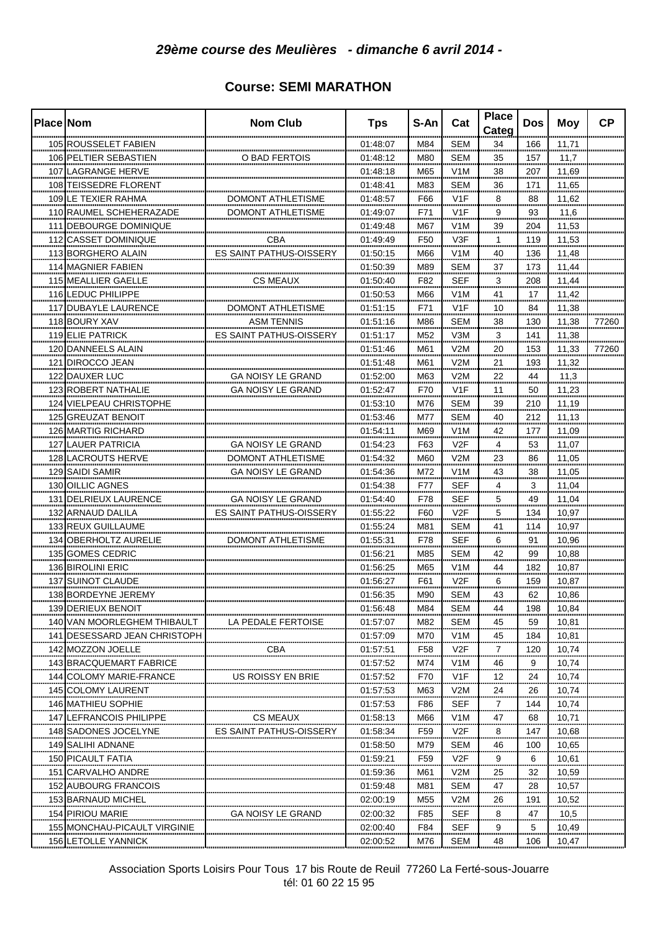| 105 ROUSSELET FABIEN<br>01:48:07<br>M84<br>SEM<br>34<br>166<br>11,71<br>106 PELTIER SEBASTIEN<br>O BAD FERTOIS<br>01:48:12<br>M80<br><b>SEM</b><br>35<br>11,7<br>157<br>107 LAGRANGE HERVE<br>01:48:18<br>M65<br>V1M<br>38<br>11,69<br>207<br>108 TEISSEDRE FLORENT<br>01:48:41<br>M83<br><b>SEM</b><br>11,65<br>36<br>171<br>109 LE TEXIER RAHMA<br>01:48:57<br>V <sub>1</sub> F<br><b>DOMONT ATHLETISME</b><br>F66<br>8<br>88<br>11,62<br>110 RAUMEL SCHEHERAZADE<br><b>DOMONT ATHLETISME</b><br>01:49:07<br>V1F<br>F71<br>9<br>93<br>11,6<br>111 DEBOURGE DOMINIQUE<br>39<br>01:49:48<br>M67<br>V <sub>1</sub> M<br>204<br>11,53<br>V3F<br>1<br>112 CASSET DOMINIQUE<br>CBA<br>01:49:49<br>F50<br>119<br>11,53<br>113 BORGHERO ALAIN<br>ES SAINT PATHUS-OISSERY<br>V1M<br>01:50:15<br>M66<br>40<br>136<br>11,48<br>M89<br><b>SEM</b><br>37<br>114 MAGNIER FABIEN<br>01:50:39<br>173<br>11,44<br><b>SEF</b><br>3<br>F82<br>115 MEALLIER GAELLE<br>01:50:40<br>208<br>11,44<br>CS MEAUX<br>116 LEDUC PHILIPPE<br>41<br>01:50:53<br>M66<br>V <sub>1</sub> M<br>11,42<br>17<br>F71<br>V <sub>1</sub> F<br>117 DUBAYLE LAURENCE<br>DOMONT ATHLETISME<br>10<br>84<br>11,38<br>01:51:15<br>M86<br><b>SEM</b><br>38<br>118 BOURY XAV<br>ASM TENNIS<br>01:51:16<br>130<br>11,38<br>77260<br>3<br>119 ELIE PATRICK<br>ES SAINT PATHUS-OISSERY<br>M52<br>V3M<br>11,38<br>01:51:17<br>141<br><br><br>120 DANNEELS ALAIN<br>01:51:46<br>M61<br>V2M<br>$20 \overline{a}$<br>153<br>11,33<br>77260<br><br>V2M<br>.21<br>121 DIROCCO JEAN<br>01:51:48<br>M61<br>193<br>11,32<br><b>122 DAUXER LUC</b><br>01:52:00<br>M63<br>V2M<br>22<br>GA NOISY LE GRAND<br>44<br>11,3<br>123 ROBERT NATHALIE<br><b>GA NOISY LE GRAND</b><br>01:52:47<br>F70<br>V <sub>1</sub> F<br>11<br>50<br>11,23<br>124 VIELPEAU CHRISTOPHE<br>01:53:10<br><b>SEM</b><br>39<br>M76<br>210<br>11,19<br><br>125 GREUZAT BENOIT<br>01:53:46<br><b>SEM</b><br>M77<br>40<br>212<br>11,13<br>ño o<br><br><b>126 MARTIG RICHARD</b><br>01:54:11<br>V1M<br>M69<br>42<br>11,09<br>177<br><br><br><br>127 LAUER PATRICIA<br>01:54:23<br>V <sub>2F</sub><br>GA NOISY LE GRAND<br>F63<br>4<br>53<br>11,07<br><br><br><br><br>128 LACROUTS HERVE<br>V2M<br>01:54:32<br>M60<br>23<br>DOMONT ATHLETISME<br>86<br>11,05<br><br><br>.<br><br>129 SAIDI SAMIR<br>GA NOISY LE GRAND<br>01:54:36<br>M72<br>V <sub>1</sub> M<br>43<br>38<br>11,05<br><br><br><br>SEF<br>3<br>130 OILLIC AGNES<br>01:54:38<br>F77<br>4<br>11,04<br><br>,,,,,,,,<br><br><br>.<br>GA NOISY LE GRAND<br>F78<br>SEF<br>5<br>131 DELRIEUX LAURENCE<br>49<br>01:54:40<br>11,04<br><br><br><br><br><br>132 ARNAUD DALILA<br>F60<br>V2F<br>5<br>ES SAINT PATHUS-OISSERY<br>01:55:22<br>134<br>10,97<br><br><br><br><br>133 REUX GUILLAUME<br><b>SEM</b><br>01:55:24<br>M81<br>41<br>10,97<br>114<br><br>F78<br>SEF<br>134 OBERHOLTZ AURELIE<br>DOMONT ATHLETISME<br>01:55:31<br>6<br>91<br>10,96<br><br><br>.<br><br>.<br>M85<br>42<br>135 GOMES CEDRIC<br>01:56:21<br>SEM<br>99<br>10,88<br><br><br><br>------<br><br>136 BIROLINI ERIC<br>01:56:25<br>M65<br>V <sub>1</sub> M<br>44<br>10,87<br>182<br>.<br>,,,,,,,,<br><br><br><br><br><b>137 SUINOT CLAUDE</b><br>F61<br>V2F<br>01:56:27<br>6<br>159<br>10,87<br>138 BORDEYNE JEREMY<br>01:56:35<br>M90<br>SEM<br>43<br>62<br>10,86<br>139 DERIEUX BENOIT<br>01:56:48<br>M84<br>SEM<br>44<br>198<br>10,84<br>140 VAN MOORLEGHEM THIBAULT<br><b>SEM</b><br>10,81<br>LA PEDALE FERTOISE<br>01:57:07<br>M82<br>45<br>59<br>141 DESESSARD JEAN CHRISTOPH<br>V1M<br>10,81<br>01:57:09<br>M70<br>45<br>184<br>V <sub>2</sub> F<br>142 MOZZON JOELLE<br><b>CBA</b><br>01:57:51<br>F <sub>58</sub><br>7<br>120<br>10,74<br>143 BRACQUEMART FABRICE<br>01:57:52<br>M74<br>V <sub>1</sub> M<br>9<br>46<br>10,74<br>V <sub>1</sub> F<br>144 COLOMY MARIE-FRANCE<br>US ROISSY EN BRIE<br>01:57:52<br>F70<br>12<br>24<br>10,74<br>145 COLOMY LAURENT<br>01:57:53<br>V2M<br>24<br>10,74<br>M63<br>26<br><b>SEF</b><br>146 MATHIEU SOPHIE<br>01:57:53<br>F86<br>7<br>144<br>10,74<br>147 LEFRANCOIS PHILIPPE<br>CS MEAUX<br>M66<br>V <sub>1</sub> M<br>47<br>68<br>10,71<br>01:58:13<br>F <sub>59</sub><br>8<br>148 SADONES JOCELYNE<br>ES SAINT PATHUS-OISSERY<br>V <sub>2</sub> F<br>147<br>01:58:34<br>10,68<br>149 SALIHI ADNANE<br>M79<br>SEM<br>01:58:50<br>46<br>100<br>10,65<br>F <sub>59</sub><br>V2F<br>150 PICAULT FATIA<br>9<br>6<br>01:59:21<br>10,61<br>M61<br>V2M<br>25<br>32<br>151 CARVALHO ANDRE<br>01:59:36<br>10,59<br>SEM<br>47<br>28<br>152 AUBOURG FRANCOIS<br>01:59:48<br>M81<br>10,57<br><br>153 BARNAUD MICHEL<br>V2M<br>191<br>02:00:19<br>M55<br>26<br>10,52<br><br>154 PIRIOU MARIE<br><b>GA NOISY LE GRAND</b><br>02:00:32<br>F85<br>SEF<br>8<br>47<br>10,5<br>SEF<br>155 MONCHAU-PICAULT VIRGINIE<br>02:00:40<br>F84<br>9<br>5<br>10,49<br>156 LETOLLE YANNICK | <b>Place Nom</b> | <b>Nom Club</b> | <b>Tps</b> | S-An | Cat | <b>Place</b><br>Categ | <b>Dos</b> | Moy   | <b>CP</b> |
|------------------------------------------------------------------------------------------------------------------------------------------------------------------------------------------------------------------------------------------------------------------------------------------------------------------------------------------------------------------------------------------------------------------------------------------------------------------------------------------------------------------------------------------------------------------------------------------------------------------------------------------------------------------------------------------------------------------------------------------------------------------------------------------------------------------------------------------------------------------------------------------------------------------------------------------------------------------------------------------------------------------------------------------------------------------------------------------------------------------------------------------------------------------------------------------------------------------------------------------------------------------------------------------------------------------------------------------------------------------------------------------------------------------------------------------------------------------------------------------------------------------------------------------------------------------------------------------------------------------------------------------------------------------------------------------------------------------------------------------------------------------------------------------------------------------------------------------------------------------------------------------------------------------------------------------------------------------------------------------------------------------------------------------------------------------------------------------------------------------------------------------------------------------------------------------------------------------------------------------------------------------------------------------------------------------------------------------------------------------------------------------------------------------------------------------------------------------------------------------------------------------------------------------------------------------------------------------------------------------------------------------------------------------------------------------------------------------------------------------------------------------------------------------------------------------------------------------------------------------------------------------------------------------------------------------------------------------------------------------------------------------------------------------------------------------------------------------------------------------------------------------------------------------------------------------------------------------------------------------------------------------------------------------------------------------------------------------------------------------------------------------------------------------------------------------------------------------------------------------------------------------------------------------------------------------------------------------------------------------------------------------------------------------------------------------------------------------------------------------------------------------------------------------------------------------------------------------------------------------------------------------------------------------------------------------------------------------------------------------------------------------------------------------------------------------------------------------------------------------------------------------------------------------------------------------------------------------------------------------------------------------------------------------------------------------------------------------------------------------------------------------------------------------------------------------------------------------------------------------------------------------------------------------------------------------------------------------------------------------------------------------------------------------------------------------------------------------------------------------------------------------------------------------------------------------------------------------------|------------------|-----------------|------------|------|-----|-----------------------|------------|-------|-----------|
|                                                                                                                                                                                                                                                                                                                                                                                                                                                                                                                                                                                                                                                                                                                                                                                                                                                                                                                                                                                                                                                                                                                                                                                                                                                                                                                                                                                                                                                                                                                                                                                                                                                                                                                                                                                                                                                                                                                                                                                                                                                                                                                                                                                                                                                                                                                                                                                                                                                                                                                                                                                                                                                                                                                                                                                                                                                                                                                                                                                                                                                                                                                                                                                                                                                                                                                                                                                                                                                                                                                                                                                                                                                                                                                                                                                                                                                                                                                                                                                                                                                                                                                                                                                                                                                                                                                                                                                                                                                                                                                                                                                                                                                                                                                                                                                                                                                |                  |                 |            |      |     |                       |            |       |           |
|                                                                                                                                                                                                                                                                                                                                                                                                                                                                                                                                                                                                                                                                                                                                                                                                                                                                                                                                                                                                                                                                                                                                                                                                                                                                                                                                                                                                                                                                                                                                                                                                                                                                                                                                                                                                                                                                                                                                                                                                                                                                                                                                                                                                                                                                                                                                                                                                                                                                                                                                                                                                                                                                                                                                                                                                                                                                                                                                                                                                                                                                                                                                                                                                                                                                                                                                                                                                                                                                                                                                                                                                                                                                                                                                                                                                                                                                                                                                                                                                                                                                                                                                                                                                                                                                                                                                                                                                                                                                                                                                                                                                                                                                                                                                                                                                                                                |                  |                 |            |      |     |                       |            |       |           |
|                                                                                                                                                                                                                                                                                                                                                                                                                                                                                                                                                                                                                                                                                                                                                                                                                                                                                                                                                                                                                                                                                                                                                                                                                                                                                                                                                                                                                                                                                                                                                                                                                                                                                                                                                                                                                                                                                                                                                                                                                                                                                                                                                                                                                                                                                                                                                                                                                                                                                                                                                                                                                                                                                                                                                                                                                                                                                                                                                                                                                                                                                                                                                                                                                                                                                                                                                                                                                                                                                                                                                                                                                                                                                                                                                                                                                                                                                                                                                                                                                                                                                                                                                                                                                                                                                                                                                                                                                                                                                                                                                                                                                                                                                                                                                                                                                                                |                  |                 |            |      |     |                       |            |       |           |
|                                                                                                                                                                                                                                                                                                                                                                                                                                                                                                                                                                                                                                                                                                                                                                                                                                                                                                                                                                                                                                                                                                                                                                                                                                                                                                                                                                                                                                                                                                                                                                                                                                                                                                                                                                                                                                                                                                                                                                                                                                                                                                                                                                                                                                                                                                                                                                                                                                                                                                                                                                                                                                                                                                                                                                                                                                                                                                                                                                                                                                                                                                                                                                                                                                                                                                                                                                                                                                                                                                                                                                                                                                                                                                                                                                                                                                                                                                                                                                                                                                                                                                                                                                                                                                                                                                                                                                                                                                                                                                                                                                                                                                                                                                                                                                                                                                                |                  |                 |            |      |     |                       |            |       |           |
|                                                                                                                                                                                                                                                                                                                                                                                                                                                                                                                                                                                                                                                                                                                                                                                                                                                                                                                                                                                                                                                                                                                                                                                                                                                                                                                                                                                                                                                                                                                                                                                                                                                                                                                                                                                                                                                                                                                                                                                                                                                                                                                                                                                                                                                                                                                                                                                                                                                                                                                                                                                                                                                                                                                                                                                                                                                                                                                                                                                                                                                                                                                                                                                                                                                                                                                                                                                                                                                                                                                                                                                                                                                                                                                                                                                                                                                                                                                                                                                                                                                                                                                                                                                                                                                                                                                                                                                                                                                                                                                                                                                                                                                                                                                                                                                                                                                |                  |                 |            |      |     |                       |            |       |           |
|                                                                                                                                                                                                                                                                                                                                                                                                                                                                                                                                                                                                                                                                                                                                                                                                                                                                                                                                                                                                                                                                                                                                                                                                                                                                                                                                                                                                                                                                                                                                                                                                                                                                                                                                                                                                                                                                                                                                                                                                                                                                                                                                                                                                                                                                                                                                                                                                                                                                                                                                                                                                                                                                                                                                                                                                                                                                                                                                                                                                                                                                                                                                                                                                                                                                                                                                                                                                                                                                                                                                                                                                                                                                                                                                                                                                                                                                                                                                                                                                                                                                                                                                                                                                                                                                                                                                                                                                                                                                                                                                                                                                                                                                                                                                                                                                                                                |                  |                 |            |      |     |                       |            |       |           |
|                                                                                                                                                                                                                                                                                                                                                                                                                                                                                                                                                                                                                                                                                                                                                                                                                                                                                                                                                                                                                                                                                                                                                                                                                                                                                                                                                                                                                                                                                                                                                                                                                                                                                                                                                                                                                                                                                                                                                                                                                                                                                                                                                                                                                                                                                                                                                                                                                                                                                                                                                                                                                                                                                                                                                                                                                                                                                                                                                                                                                                                                                                                                                                                                                                                                                                                                                                                                                                                                                                                                                                                                                                                                                                                                                                                                                                                                                                                                                                                                                                                                                                                                                                                                                                                                                                                                                                                                                                                                                                                                                                                                                                                                                                                                                                                                                                                |                  |                 |            |      |     |                       |            |       |           |
|                                                                                                                                                                                                                                                                                                                                                                                                                                                                                                                                                                                                                                                                                                                                                                                                                                                                                                                                                                                                                                                                                                                                                                                                                                                                                                                                                                                                                                                                                                                                                                                                                                                                                                                                                                                                                                                                                                                                                                                                                                                                                                                                                                                                                                                                                                                                                                                                                                                                                                                                                                                                                                                                                                                                                                                                                                                                                                                                                                                                                                                                                                                                                                                                                                                                                                                                                                                                                                                                                                                                                                                                                                                                                                                                                                                                                                                                                                                                                                                                                                                                                                                                                                                                                                                                                                                                                                                                                                                                                                                                                                                                                                                                                                                                                                                                                                                |                  |                 |            |      |     |                       |            |       |           |
|                                                                                                                                                                                                                                                                                                                                                                                                                                                                                                                                                                                                                                                                                                                                                                                                                                                                                                                                                                                                                                                                                                                                                                                                                                                                                                                                                                                                                                                                                                                                                                                                                                                                                                                                                                                                                                                                                                                                                                                                                                                                                                                                                                                                                                                                                                                                                                                                                                                                                                                                                                                                                                                                                                                                                                                                                                                                                                                                                                                                                                                                                                                                                                                                                                                                                                                                                                                                                                                                                                                                                                                                                                                                                                                                                                                                                                                                                                                                                                                                                                                                                                                                                                                                                                                                                                                                                                                                                                                                                                                                                                                                                                                                                                                                                                                                                                                |                  |                 |            |      |     |                       |            |       |           |
|                                                                                                                                                                                                                                                                                                                                                                                                                                                                                                                                                                                                                                                                                                                                                                                                                                                                                                                                                                                                                                                                                                                                                                                                                                                                                                                                                                                                                                                                                                                                                                                                                                                                                                                                                                                                                                                                                                                                                                                                                                                                                                                                                                                                                                                                                                                                                                                                                                                                                                                                                                                                                                                                                                                                                                                                                                                                                                                                                                                                                                                                                                                                                                                                                                                                                                                                                                                                                                                                                                                                                                                                                                                                                                                                                                                                                                                                                                                                                                                                                                                                                                                                                                                                                                                                                                                                                                                                                                                                                                                                                                                                                                                                                                                                                                                                                                                |                  |                 |            |      |     |                       |            |       |           |
|                                                                                                                                                                                                                                                                                                                                                                                                                                                                                                                                                                                                                                                                                                                                                                                                                                                                                                                                                                                                                                                                                                                                                                                                                                                                                                                                                                                                                                                                                                                                                                                                                                                                                                                                                                                                                                                                                                                                                                                                                                                                                                                                                                                                                                                                                                                                                                                                                                                                                                                                                                                                                                                                                                                                                                                                                                                                                                                                                                                                                                                                                                                                                                                                                                                                                                                                                                                                                                                                                                                                                                                                                                                                                                                                                                                                                                                                                                                                                                                                                                                                                                                                                                                                                                                                                                                                                                                                                                                                                                                                                                                                                                                                                                                                                                                                                                                |                  |                 |            |      |     |                       |            |       |           |
|                                                                                                                                                                                                                                                                                                                                                                                                                                                                                                                                                                                                                                                                                                                                                                                                                                                                                                                                                                                                                                                                                                                                                                                                                                                                                                                                                                                                                                                                                                                                                                                                                                                                                                                                                                                                                                                                                                                                                                                                                                                                                                                                                                                                                                                                                                                                                                                                                                                                                                                                                                                                                                                                                                                                                                                                                                                                                                                                                                                                                                                                                                                                                                                                                                                                                                                                                                                                                                                                                                                                                                                                                                                                                                                                                                                                                                                                                                                                                                                                                                                                                                                                                                                                                                                                                                                                                                                                                                                                                                                                                                                                                                                                                                                                                                                                                                                |                  |                 |            |      |     |                       |            |       |           |
|                                                                                                                                                                                                                                                                                                                                                                                                                                                                                                                                                                                                                                                                                                                                                                                                                                                                                                                                                                                                                                                                                                                                                                                                                                                                                                                                                                                                                                                                                                                                                                                                                                                                                                                                                                                                                                                                                                                                                                                                                                                                                                                                                                                                                                                                                                                                                                                                                                                                                                                                                                                                                                                                                                                                                                                                                                                                                                                                                                                                                                                                                                                                                                                                                                                                                                                                                                                                                                                                                                                                                                                                                                                                                                                                                                                                                                                                                                                                                                                                                                                                                                                                                                                                                                                                                                                                                                                                                                                                                                                                                                                                                                                                                                                                                                                                                                                |                  |                 |            |      |     |                       |            |       |           |
|                                                                                                                                                                                                                                                                                                                                                                                                                                                                                                                                                                                                                                                                                                                                                                                                                                                                                                                                                                                                                                                                                                                                                                                                                                                                                                                                                                                                                                                                                                                                                                                                                                                                                                                                                                                                                                                                                                                                                                                                                                                                                                                                                                                                                                                                                                                                                                                                                                                                                                                                                                                                                                                                                                                                                                                                                                                                                                                                                                                                                                                                                                                                                                                                                                                                                                                                                                                                                                                                                                                                                                                                                                                                                                                                                                                                                                                                                                                                                                                                                                                                                                                                                                                                                                                                                                                                                                                                                                                                                                                                                                                                                                                                                                                                                                                                                                                |                  |                 |            |      |     |                       |            |       |           |
|                                                                                                                                                                                                                                                                                                                                                                                                                                                                                                                                                                                                                                                                                                                                                                                                                                                                                                                                                                                                                                                                                                                                                                                                                                                                                                                                                                                                                                                                                                                                                                                                                                                                                                                                                                                                                                                                                                                                                                                                                                                                                                                                                                                                                                                                                                                                                                                                                                                                                                                                                                                                                                                                                                                                                                                                                                                                                                                                                                                                                                                                                                                                                                                                                                                                                                                                                                                                                                                                                                                                                                                                                                                                                                                                                                                                                                                                                                                                                                                                                                                                                                                                                                                                                                                                                                                                                                                                                                                                                                                                                                                                                                                                                                                                                                                                                                                |                  |                 |            |      |     |                       |            |       |           |
|                                                                                                                                                                                                                                                                                                                                                                                                                                                                                                                                                                                                                                                                                                                                                                                                                                                                                                                                                                                                                                                                                                                                                                                                                                                                                                                                                                                                                                                                                                                                                                                                                                                                                                                                                                                                                                                                                                                                                                                                                                                                                                                                                                                                                                                                                                                                                                                                                                                                                                                                                                                                                                                                                                                                                                                                                                                                                                                                                                                                                                                                                                                                                                                                                                                                                                                                                                                                                                                                                                                                                                                                                                                                                                                                                                                                                                                                                                                                                                                                                                                                                                                                                                                                                                                                                                                                                                                                                                                                                                                                                                                                                                                                                                                                                                                                                                                |                  |                 |            |      |     |                       |            |       |           |
|                                                                                                                                                                                                                                                                                                                                                                                                                                                                                                                                                                                                                                                                                                                                                                                                                                                                                                                                                                                                                                                                                                                                                                                                                                                                                                                                                                                                                                                                                                                                                                                                                                                                                                                                                                                                                                                                                                                                                                                                                                                                                                                                                                                                                                                                                                                                                                                                                                                                                                                                                                                                                                                                                                                                                                                                                                                                                                                                                                                                                                                                                                                                                                                                                                                                                                                                                                                                                                                                                                                                                                                                                                                                                                                                                                                                                                                                                                                                                                                                                                                                                                                                                                                                                                                                                                                                                                                                                                                                                                                                                                                                                                                                                                                                                                                                                                                |                  |                 |            |      |     |                       |            |       |           |
|                                                                                                                                                                                                                                                                                                                                                                                                                                                                                                                                                                                                                                                                                                                                                                                                                                                                                                                                                                                                                                                                                                                                                                                                                                                                                                                                                                                                                                                                                                                                                                                                                                                                                                                                                                                                                                                                                                                                                                                                                                                                                                                                                                                                                                                                                                                                                                                                                                                                                                                                                                                                                                                                                                                                                                                                                                                                                                                                                                                                                                                                                                                                                                                                                                                                                                                                                                                                                                                                                                                                                                                                                                                                                                                                                                                                                                                                                                                                                                                                                                                                                                                                                                                                                                                                                                                                                                                                                                                                                                                                                                                                                                                                                                                                                                                                                                                |                  |                 |            |      |     |                       |            |       |           |
|                                                                                                                                                                                                                                                                                                                                                                                                                                                                                                                                                                                                                                                                                                                                                                                                                                                                                                                                                                                                                                                                                                                                                                                                                                                                                                                                                                                                                                                                                                                                                                                                                                                                                                                                                                                                                                                                                                                                                                                                                                                                                                                                                                                                                                                                                                                                                                                                                                                                                                                                                                                                                                                                                                                                                                                                                                                                                                                                                                                                                                                                                                                                                                                                                                                                                                                                                                                                                                                                                                                                                                                                                                                                                                                                                                                                                                                                                                                                                                                                                                                                                                                                                                                                                                                                                                                                                                                                                                                                                                                                                                                                                                                                                                                                                                                                                                                |                  |                 |            |      |     |                       |            |       |           |
|                                                                                                                                                                                                                                                                                                                                                                                                                                                                                                                                                                                                                                                                                                                                                                                                                                                                                                                                                                                                                                                                                                                                                                                                                                                                                                                                                                                                                                                                                                                                                                                                                                                                                                                                                                                                                                                                                                                                                                                                                                                                                                                                                                                                                                                                                                                                                                                                                                                                                                                                                                                                                                                                                                                                                                                                                                                                                                                                                                                                                                                                                                                                                                                                                                                                                                                                                                                                                                                                                                                                                                                                                                                                                                                                                                                                                                                                                                                                                                                                                                                                                                                                                                                                                                                                                                                                                                                                                                                                                                                                                                                                                                                                                                                                                                                                                                                |                  |                 |            |      |     |                       |            |       |           |
|                                                                                                                                                                                                                                                                                                                                                                                                                                                                                                                                                                                                                                                                                                                                                                                                                                                                                                                                                                                                                                                                                                                                                                                                                                                                                                                                                                                                                                                                                                                                                                                                                                                                                                                                                                                                                                                                                                                                                                                                                                                                                                                                                                                                                                                                                                                                                                                                                                                                                                                                                                                                                                                                                                                                                                                                                                                                                                                                                                                                                                                                                                                                                                                                                                                                                                                                                                                                                                                                                                                                                                                                                                                                                                                                                                                                                                                                                                                                                                                                                                                                                                                                                                                                                                                                                                                                                                                                                                                                                                                                                                                                                                                                                                                                                                                                                                                |                  |                 |            |      |     |                       |            |       |           |
|                                                                                                                                                                                                                                                                                                                                                                                                                                                                                                                                                                                                                                                                                                                                                                                                                                                                                                                                                                                                                                                                                                                                                                                                                                                                                                                                                                                                                                                                                                                                                                                                                                                                                                                                                                                                                                                                                                                                                                                                                                                                                                                                                                                                                                                                                                                                                                                                                                                                                                                                                                                                                                                                                                                                                                                                                                                                                                                                                                                                                                                                                                                                                                                                                                                                                                                                                                                                                                                                                                                                                                                                                                                                                                                                                                                                                                                                                                                                                                                                                                                                                                                                                                                                                                                                                                                                                                                                                                                                                                                                                                                                                                                                                                                                                                                                                                                |                  |                 |            |      |     |                       |            |       |           |
|                                                                                                                                                                                                                                                                                                                                                                                                                                                                                                                                                                                                                                                                                                                                                                                                                                                                                                                                                                                                                                                                                                                                                                                                                                                                                                                                                                                                                                                                                                                                                                                                                                                                                                                                                                                                                                                                                                                                                                                                                                                                                                                                                                                                                                                                                                                                                                                                                                                                                                                                                                                                                                                                                                                                                                                                                                                                                                                                                                                                                                                                                                                                                                                                                                                                                                                                                                                                                                                                                                                                                                                                                                                                                                                                                                                                                                                                                                                                                                                                                                                                                                                                                                                                                                                                                                                                                                                                                                                                                                                                                                                                                                                                                                                                                                                                                                                |                  |                 |            |      |     |                       |            |       |           |
|                                                                                                                                                                                                                                                                                                                                                                                                                                                                                                                                                                                                                                                                                                                                                                                                                                                                                                                                                                                                                                                                                                                                                                                                                                                                                                                                                                                                                                                                                                                                                                                                                                                                                                                                                                                                                                                                                                                                                                                                                                                                                                                                                                                                                                                                                                                                                                                                                                                                                                                                                                                                                                                                                                                                                                                                                                                                                                                                                                                                                                                                                                                                                                                                                                                                                                                                                                                                                                                                                                                                                                                                                                                                                                                                                                                                                                                                                                                                                                                                                                                                                                                                                                                                                                                                                                                                                                                                                                                                                                                                                                                                                                                                                                                                                                                                                                                |                  |                 |            |      |     |                       |            |       |           |
|                                                                                                                                                                                                                                                                                                                                                                                                                                                                                                                                                                                                                                                                                                                                                                                                                                                                                                                                                                                                                                                                                                                                                                                                                                                                                                                                                                                                                                                                                                                                                                                                                                                                                                                                                                                                                                                                                                                                                                                                                                                                                                                                                                                                                                                                                                                                                                                                                                                                                                                                                                                                                                                                                                                                                                                                                                                                                                                                                                                                                                                                                                                                                                                                                                                                                                                                                                                                                                                                                                                                                                                                                                                                                                                                                                                                                                                                                                                                                                                                                                                                                                                                                                                                                                                                                                                                                                                                                                                                                                                                                                                                                                                                                                                                                                                                                                                |                  |                 |            |      |     |                       |            |       |           |
|                                                                                                                                                                                                                                                                                                                                                                                                                                                                                                                                                                                                                                                                                                                                                                                                                                                                                                                                                                                                                                                                                                                                                                                                                                                                                                                                                                                                                                                                                                                                                                                                                                                                                                                                                                                                                                                                                                                                                                                                                                                                                                                                                                                                                                                                                                                                                                                                                                                                                                                                                                                                                                                                                                                                                                                                                                                                                                                                                                                                                                                                                                                                                                                                                                                                                                                                                                                                                                                                                                                                                                                                                                                                                                                                                                                                                                                                                                                                                                                                                                                                                                                                                                                                                                                                                                                                                                                                                                                                                                                                                                                                                                                                                                                                                                                                                                                |                  |                 |            |      |     |                       |            |       |           |
|                                                                                                                                                                                                                                                                                                                                                                                                                                                                                                                                                                                                                                                                                                                                                                                                                                                                                                                                                                                                                                                                                                                                                                                                                                                                                                                                                                                                                                                                                                                                                                                                                                                                                                                                                                                                                                                                                                                                                                                                                                                                                                                                                                                                                                                                                                                                                                                                                                                                                                                                                                                                                                                                                                                                                                                                                                                                                                                                                                                                                                                                                                                                                                                                                                                                                                                                                                                                                                                                                                                                                                                                                                                                                                                                                                                                                                                                                                                                                                                                                                                                                                                                                                                                                                                                                                                                                                                                                                                                                                                                                                                                                                                                                                                                                                                                                                                |                  |                 |            |      |     |                       |            |       |           |
|                                                                                                                                                                                                                                                                                                                                                                                                                                                                                                                                                                                                                                                                                                                                                                                                                                                                                                                                                                                                                                                                                                                                                                                                                                                                                                                                                                                                                                                                                                                                                                                                                                                                                                                                                                                                                                                                                                                                                                                                                                                                                                                                                                                                                                                                                                                                                                                                                                                                                                                                                                                                                                                                                                                                                                                                                                                                                                                                                                                                                                                                                                                                                                                                                                                                                                                                                                                                                                                                                                                                                                                                                                                                                                                                                                                                                                                                                                                                                                                                                                                                                                                                                                                                                                                                                                                                                                                                                                                                                                                                                                                                                                                                                                                                                                                                                                                |                  |                 |            |      |     |                       |            |       |           |
|                                                                                                                                                                                                                                                                                                                                                                                                                                                                                                                                                                                                                                                                                                                                                                                                                                                                                                                                                                                                                                                                                                                                                                                                                                                                                                                                                                                                                                                                                                                                                                                                                                                                                                                                                                                                                                                                                                                                                                                                                                                                                                                                                                                                                                                                                                                                                                                                                                                                                                                                                                                                                                                                                                                                                                                                                                                                                                                                                                                                                                                                                                                                                                                                                                                                                                                                                                                                                                                                                                                                                                                                                                                                                                                                                                                                                                                                                                                                                                                                                                                                                                                                                                                                                                                                                                                                                                                                                                                                                                                                                                                                                                                                                                                                                                                                                                                |                  |                 |            |      |     |                       |            |       |           |
|                                                                                                                                                                                                                                                                                                                                                                                                                                                                                                                                                                                                                                                                                                                                                                                                                                                                                                                                                                                                                                                                                                                                                                                                                                                                                                                                                                                                                                                                                                                                                                                                                                                                                                                                                                                                                                                                                                                                                                                                                                                                                                                                                                                                                                                                                                                                                                                                                                                                                                                                                                                                                                                                                                                                                                                                                                                                                                                                                                                                                                                                                                                                                                                                                                                                                                                                                                                                                                                                                                                                                                                                                                                                                                                                                                                                                                                                                                                                                                                                                                                                                                                                                                                                                                                                                                                                                                                                                                                                                                                                                                                                                                                                                                                                                                                                                                                |                  |                 |            |      |     |                       |            |       |           |
|                                                                                                                                                                                                                                                                                                                                                                                                                                                                                                                                                                                                                                                                                                                                                                                                                                                                                                                                                                                                                                                                                                                                                                                                                                                                                                                                                                                                                                                                                                                                                                                                                                                                                                                                                                                                                                                                                                                                                                                                                                                                                                                                                                                                                                                                                                                                                                                                                                                                                                                                                                                                                                                                                                                                                                                                                                                                                                                                                                                                                                                                                                                                                                                                                                                                                                                                                                                                                                                                                                                                                                                                                                                                                                                                                                                                                                                                                                                                                                                                                                                                                                                                                                                                                                                                                                                                                                                                                                                                                                                                                                                                                                                                                                                                                                                                                                                |                  |                 |            |      |     |                       |            |       |           |
|                                                                                                                                                                                                                                                                                                                                                                                                                                                                                                                                                                                                                                                                                                                                                                                                                                                                                                                                                                                                                                                                                                                                                                                                                                                                                                                                                                                                                                                                                                                                                                                                                                                                                                                                                                                                                                                                                                                                                                                                                                                                                                                                                                                                                                                                                                                                                                                                                                                                                                                                                                                                                                                                                                                                                                                                                                                                                                                                                                                                                                                                                                                                                                                                                                                                                                                                                                                                                                                                                                                                                                                                                                                                                                                                                                                                                                                                                                                                                                                                                                                                                                                                                                                                                                                                                                                                                                                                                                                                                                                                                                                                                                                                                                                                                                                                                                                |                  |                 |            |      |     |                       |            |       |           |
|                                                                                                                                                                                                                                                                                                                                                                                                                                                                                                                                                                                                                                                                                                                                                                                                                                                                                                                                                                                                                                                                                                                                                                                                                                                                                                                                                                                                                                                                                                                                                                                                                                                                                                                                                                                                                                                                                                                                                                                                                                                                                                                                                                                                                                                                                                                                                                                                                                                                                                                                                                                                                                                                                                                                                                                                                                                                                                                                                                                                                                                                                                                                                                                                                                                                                                                                                                                                                                                                                                                                                                                                                                                                                                                                                                                                                                                                                                                                                                                                                                                                                                                                                                                                                                                                                                                                                                                                                                                                                                                                                                                                                                                                                                                                                                                                                                                |                  |                 |            |      |     |                       |            |       |           |
|                                                                                                                                                                                                                                                                                                                                                                                                                                                                                                                                                                                                                                                                                                                                                                                                                                                                                                                                                                                                                                                                                                                                                                                                                                                                                                                                                                                                                                                                                                                                                                                                                                                                                                                                                                                                                                                                                                                                                                                                                                                                                                                                                                                                                                                                                                                                                                                                                                                                                                                                                                                                                                                                                                                                                                                                                                                                                                                                                                                                                                                                                                                                                                                                                                                                                                                                                                                                                                                                                                                                                                                                                                                                                                                                                                                                                                                                                                                                                                                                                                                                                                                                                                                                                                                                                                                                                                                                                                                                                                                                                                                                                                                                                                                                                                                                                                                |                  |                 |            |      |     |                       |            |       |           |
|                                                                                                                                                                                                                                                                                                                                                                                                                                                                                                                                                                                                                                                                                                                                                                                                                                                                                                                                                                                                                                                                                                                                                                                                                                                                                                                                                                                                                                                                                                                                                                                                                                                                                                                                                                                                                                                                                                                                                                                                                                                                                                                                                                                                                                                                                                                                                                                                                                                                                                                                                                                                                                                                                                                                                                                                                                                                                                                                                                                                                                                                                                                                                                                                                                                                                                                                                                                                                                                                                                                                                                                                                                                                                                                                                                                                                                                                                                                                                                                                                                                                                                                                                                                                                                                                                                                                                                                                                                                                                                                                                                                                                                                                                                                                                                                                                                                |                  |                 |            |      |     |                       |            |       |           |
|                                                                                                                                                                                                                                                                                                                                                                                                                                                                                                                                                                                                                                                                                                                                                                                                                                                                                                                                                                                                                                                                                                                                                                                                                                                                                                                                                                                                                                                                                                                                                                                                                                                                                                                                                                                                                                                                                                                                                                                                                                                                                                                                                                                                                                                                                                                                                                                                                                                                                                                                                                                                                                                                                                                                                                                                                                                                                                                                                                                                                                                                                                                                                                                                                                                                                                                                                                                                                                                                                                                                                                                                                                                                                                                                                                                                                                                                                                                                                                                                                                                                                                                                                                                                                                                                                                                                                                                                                                                                                                                                                                                                                                                                                                                                                                                                                                                |                  |                 |            |      |     |                       |            |       |           |
|                                                                                                                                                                                                                                                                                                                                                                                                                                                                                                                                                                                                                                                                                                                                                                                                                                                                                                                                                                                                                                                                                                                                                                                                                                                                                                                                                                                                                                                                                                                                                                                                                                                                                                                                                                                                                                                                                                                                                                                                                                                                                                                                                                                                                                                                                                                                                                                                                                                                                                                                                                                                                                                                                                                                                                                                                                                                                                                                                                                                                                                                                                                                                                                                                                                                                                                                                                                                                                                                                                                                                                                                                                                                                                                                                                                                                                                                                                                                                                                                                                                                                                                                                                                                                                                                                                                                                                                                                                                                                                                                                                                                                                                                                                                                                                                                                                                |                  |                 |            |      |     |                       |            |       |           |
|                                                                                                                                                                                                                                                                                                                                                                                                                                                                                                                                                                                                                                                                                                                                                                                                                                                                                                                                                                                                                                                                                                                                                                                                                                                                                                                                                                                                                                                                                                                                                                                                                                                                                                                                                                                                                                                                                                                                                                                                                                                                                                                                                                                                                                                                                                                                                                                                                                                                                                                                                                                                                                                                                                                                                                                                                                                                                                                                                                                                                                                                                                                                                                                                                                                                                                                                                                                                                                                                                                                                                                                                                                                                                                                                                                                                                                                                                                                                                                                                                                                                                                                                                                                                                                                                                                                                                                                                                                                                                                                                                                                                                                                                                                                                                                                                                                                |                  |                 |            |      |     |                       |            |       |           |
|                                                                                                                                                                                                                                                                                                                                                                                                                                                                                                                                                                                                                                                                                                                                                                                                                                                                                                                                                                                                                                                                                                                                                                                                                                                                                                                                                                                                                                                                                                                                                                                                                                                                                                                                                                                                                                                                                                                                                                                                                                                                                                                                                                                                                                                                                                                                                                                                                                                                                                                                                                                                                                                                                                                                                                                                                                                                                                                                                                                                                                                                                                                                                                                                                                                                                                                                                                                                                                                                                                                                                                                                                                                                                                                                                                                                                                                                                                                                                                                                                                                                                                                                                                                                                                                                                                                                                                                                                                                                                                                                                                                                                                                                                                                                                                                                                                                |                  |                 |            |      |     |                       |            |       |           |
|                                                                                                                                                                                                                                                                                                                                                                                                                                                                                                                                                                                                                                                                                                                                                                                                                                                                                                                                                                                                                                                                                                                                                                                                                                                                                                                                                                                                                                                                                                                                                                                                                                                                                                                                                                                                                                                                                                                                                                                                                                                                                                                                                                                                                                                                                                                                                                                                                                                                                                                                                                                                                                                                                                                                                                                                                                                                                                                                                                                                                                                                                                                                                                                                                                                                                                                                                                                                                                                                                                                                                                                                                                                                                                                                                                                                                                                                                                                                                                                                                                                                                                                                                                                                                                                                                                                                                                                                                                                                                                                                                                                                                                                                                                                                                                                                                                                |                  |                 |            |      |     |                       |            |       |           |
|                                                                                                                                                                                                                                                                                                                                                                                                                                                                                                                                                                                                                                                                                                                                                                                                                                                                                                                                                                                                                                                                                                                                                                                                                                                                                                                                                                                                                                                                                                                                                                                                                                                                                                                                                                                                                                                                                                                                                                                                                                                                                                                                                                                                                                                                                                                                                                                                                                                                                                                                                                                                                                                                                                                                                                                                                                                                                                                                                                                                                                                                                                                                                                                                                                                                                                                                                                                                                                                                                                                                                                                                                                                                                                                                                                                                                                                                                                                                                                                                                                                                                                                                                                                                                                                                                                                                                                                                                                                                                                                                                                                                                                                                                                                                                                                                                                                |                  |                 |            |      |     |                       |            |       |           |
|                                                                                                                                                                                                                                                                                                                                                                                                                                                                                                                                                                                                                                                                                                                                                                                                                                                                                                                                                                                                                                                                                                                                                                                                                                                                                                                                                                                                                                                                                                                                                                                                                                                                                                                                                                                                                                                                                                                                                                                                                                                                                                                                                                                                                                                                                                                                                                                                                                                                                                                                                                                                                                                                                                                                                                                                                                                                                                                                                                                                                                                                                                                                                                                                                                                                                                                                                                                                                                                                                                                                                                                                                                                                                                                                                                                                                                                                                                                                                                                                                                                                                                                                                                                                                                                                                                                                                                                                                                                                                                                                                                                                                                                                                                                                                                                                                                                |                  |                 |            |      |     |                       |            |       |           |
|                                                                                                                                                                                                                                                                                                                                                                                                                                                                                                                                                                                                                                                                                                                                                                                                                                                                                                                                                                                                                                                                                                                                                                                                                                                                                                                                                                                                                                                                                                                                                                                                                                                                                                                                                                                                                                                                                                                                                                                                                                                                                                                                                                                                                                                                                                                                                                                                                                                                                                                                                                                                                                                                                                                                                                                                                                                                                                                                                                                                                                                                                                                                                                                                                                                                                                                                                                                                                                                                                                                                                                                                                                                                                                                                                                                                                                                                                                                                                                                                                                                                                                                                                                                                                                                                                                                                                                                                                                                                                                                                                                                                                                                                                                                                                                                                                                                |                  |                 |            |      |     |                       |            |       |           |
|                                                                                                                                                                                                                                                                                                                                                                                                                                                                                                                                                                                                                                                                                                                                                                                                                                                                                                                                                                                                                                                                                                                                                                                                                                                                                                                                                                                                                                                                                                                                                                                                                                                                                                                                                                                                                                                                                                                                                                                                                                                                                                                                                                                                                                                                                                                                                                                                                                                                                                                                                                                                                                                                                                                                                                                                                                                                                                                                                                                                                                                                                                                                                                                                                                                                                                                                                                                                                                                                                                                                                                                                                                                                                                                                                                                                                                                                                                                                                                                                                                                                                                                                                                                                                                                                                                                                                                                                                                                                                                                                                                                                                                                                                                                                                                                                                                                |                  |                 |            |      |     |                       |            |       |           |
|                                                                                                                                                                                                                                                                                                                                                                                                                                                                                                                                                                                                                                                                                                                                                                                                                                                                                                                                                                                                                                                                                                                                                                                                                                                                                                                                                                                                                                                                                                                                                                                                                                                                                                                                                                                                                                                                                                                                                                                                                                                                                                                                                                                                                                                                                                                                                                                                                                                                                                                                                                                                                                                                                                                                                                                                                                                                                                                                                                                                                                                                                                                                                                                                                                                                                                                                                                                                                                                                                                                                                                                                                                                                                                                                                                                                                                                                                                                                                                                                                                                                                                                                                                                                                                                                                                                                                                                                                                                                                                                                                                                                                                                                                                                                                                                                                                                |                  |                 |            |      |     |                       |            |       |           |
|                                                                                                                                                                                                                                                                                                                                                                                                                                                                                                                                                                                                                                                                                                                                                                                                                                                                                                                                                                                                                                                                                                                                                                                                                                                                                                                                                                                                                                                                                                                                                                                                                                                                                                                                                                                                                                                                                                                                                                                                                                                                                                                                                                                                                                                                                                                                                                                                                                                                                                                                                                                                                                                                                                                                                                                                                                                                                                                                                                                                                                                                                                                                                                                                                                                                                                                                                                                                                                                                                                                                                                                                                                                                                                                                                                                                                                                                                                                                                                                                                                                                                                                                                                                                                                                                                                                                                                                                                                                                                                                                                                                                                                                                                                                                                                                                                                                |                  |                 |            |      |     |                       |            |       |           |
|                                                                                                                                                                                                                                                                                                                                                                                                                                                                                                                                                                                                                                                                                                                                                                                                                                                                                                                                                                                                                                                                                                                                                                                                                                                                                                                                                                                                                                                                                                                                                                                                                                                                                                                                                                                                                                                                                                                                                                                                                                                                                                                                                                                                                                                                                                                                                                                                                                                                                                                                                                                                                                                                                                                                                                                                                                                                                                                                                                                                                                                                                                                                                                                                                                                                                                                                                                                                                                                                                                                                                                                                                                                                                                                                                                                                                                                                                                                                                                                                                                                                                                                                                                                                                                                                                                                                                                                                                                                                                                                                                                                                                                                                                                                                                                                                                                                |                  |                 |            |      |     |                       |            |       |           |
|                                                                                                                                                                                                                                                                                                                                                                                                                                                                                                                                                                                                                                                                                                                                                                                                                                                                                                                                                                                                                                                                                                                                                                                                                                                                                                                                                                                                                                                                                                                                                                                                                                                                                                                                                                                                                                                                                                                                                                                                                                                                                                                                                                                                                                                                                                                                                                                                                                                                                                                                                                                                                                                                                                                                                                                                                                                                                                                                                                                                                                                                                                                                                                                                                                                                                                                                                                                                                                                                                                                                                                                                                                                                                                                                                                                                                                                                                                                                                                                                                                                                                                                                                                                                                                                                                                                                                                                                                                                                                                                                                                                                                                                                                                                                                                                                                                                |                  |                 |            |      |     |                       |            |       |           |
|                                                                                                                                                                                                                                                                                                                                                                                                                                                                                                                                                                                                                                                                                                                                                                                                                                                                                                                                                                                                                                                                                                                                                                                                                                                                                                                                                                                                                                                                                                                                                                                                                                                                                                                                                                                                                                                                                                                                                                                                                                                                                                                                                                                                                                                                                                                                                                                                                                                                                                                                                                                                                                                                                                                                                                                                                                                                                                                                                                                                                                                                                                                                                                                                                                                                                                                                                                                                                                                                                                                                                                                                                                                                                                                                                                                                                                                                                                                                                                                                                                                                                                                                                                                                                                                                                                                                                                                                                                                                                                                                                                                                                                                                                                                                                                                                                                                |                  |                 |            |      |     |                       |            |       |           |
|                                                                                                                                                                                                                                                                                                                                                                                                                                                                                                                                                                                                                                                                                                                                                                                                                                                                                                                                                                                                                                                                                                                                                                                                                                                                                                                                                                                                                                                                                                                                                                                                                                                                                                                                                                                                                                                                                                                                                                                                                                                                                                                                                                                                                                                                                                                                                                                                                                                                                                                                                                                                                                                                                                                                                                                                                                                                                                                                                                                                                                                                                                                                                                                                                                                                                                                                                                                                                                                                                                                                                                                                                                                                                                                                                                                                                                                                                                                                                                                                                                                                                                                                                                                                                                                                                                                                                                                                                                                                                                                                                                                                                                                                                                                                                                                                                                                |                  |                 |            |      |     |                       |            |       |           |
|                                                                                                                                                                                                                                                                                                                                                                                                                                                                                                                                                                                                                                                                                                                                                                                                                                                                                                                                                                                                                                                                                                                                                                                                                                                                                                                                                                                                                                                                                                                                                                                                                                                                                                                                                                                                                                                                                                                                                                                                                                                                                                                                                                                                                                                                                                                                                                                                                                                                                                                                                                                                                                                                                                                                                                                                                                                                                                                                                                                                                                                                                                                                                                                                                                                                                                                                                                                                                                                                                                                                                                                                                                                                                                                                                                                                                                                                                                                                                                                                                                                                                                                                                                                                                                                                                                                                                                                                                                                                                                                                                                                                                                                                                                                                                                                                                                                |                  |                 |            |      |     |                       |            |       |           |
|                                                                                                                                                                                                                                                                                                                                                                                                                                                                                                                                                                                                                                                                                                                                                                                                                                                                                                                                                                                                                                                                                                                                                                                                                                                                                                                                                                                                                                                                                                                                                                                                                                                                                                                                                                                                                                                                                                                                                                                                                                                                                                                                                                                                                                                                                                                                                                                                                                                                                                                                                                                                                                                                                                                                                                                                                                                                                                                                                                                                                                                                                                                                                                                                                                                                                                                                                                                                                                                                                                                                                                                                                                                                                                                                                                                                                                                                                                                                                                                                                                                                                                                                                                                                                                                                                                                                                                                                                                                                                                                                                                                                                                                                                                                                                                                                                                                |                  |                 | 02:00:52   | M76  | SEM | 48                    | 106        | 10,47 |           |

Association Sports Loisirs Pour Tous 17 bis Route de Reuil 77260 La Ferté-sous-Jouarre tél: 01 60 22 15 95